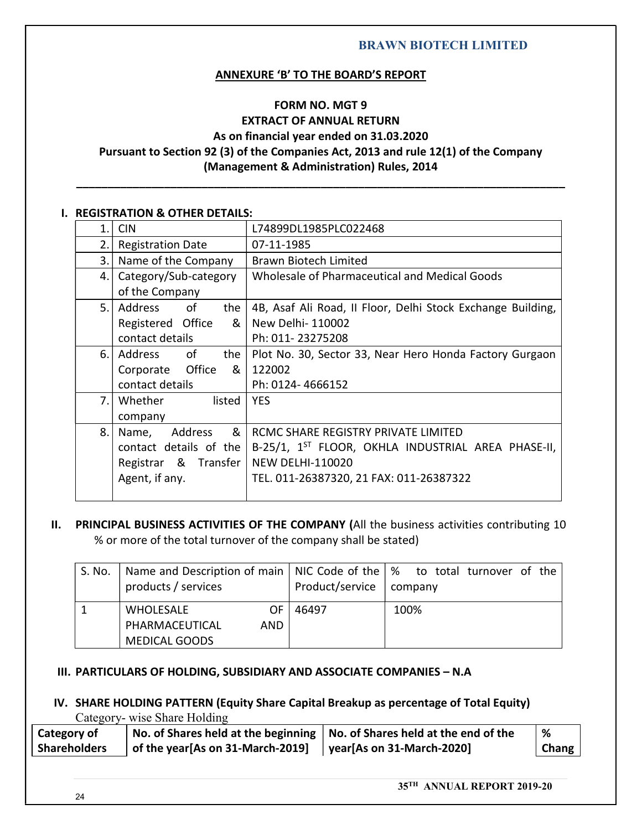# ANNEXURE 'B' TO THE BOARD'S REPORT

# FORM NO. MGT 9 EXTRACT OF ANNUAL RETURN As on financial year ended on 31.03.2020 Pursuant to Section 92 (3) of the Companies Act, 2013 and rule 12(1) of the Company (Management & Administration) Rules, 2014 \_\_\_\_\_\_\_\_\_\_\_\_\_\_\_\_\_\_\_\_\_\_\_\_\_\_\_\_\_\_\_\_\_\_\_\_\_\_\_\_\_\_\_\_\_\_\_\_\_\_\_\_\_\_\_\_\_\_\_\_\_\_\_\_\_\_\_\_\_\_\_\_\_\_\_\_\_\_ I. REGISTRATION & OTHER DETAILS:

|        |                                                                                                                        |            |                                                                                                                                                   | <b>BRAWN BIOTECH LIMITED</b>                                                                                                          |  |  |  |  |  |
|--------|------------------------------------------------------------------------------------------------------------------------|------------|---------------------------------------------------------------------------------------------------------------------------------------------------|---------------------------------------------------------------------------------------------------------------------------------------|--|--|--|--|--|
|        |                                                                                                                        |            | <b>ANNEXURE 'B' TO THE BOARD'S REPORT</b>                                                                                                         |                                                                                                                                       |  |  |  |  |  |
|        |                                                                                                                        |            | <b>FORM NO. MGT 9</b><br><b>EXTRACT OF ANNUAL RETURN</b><br>As on financial year ended on 31.03.2020<br>(Management & Administration) Rules, 2014 | Pursuant to Section 92 (3) of the Companies Act, 2013 and rule 12(1) of the Company                                                   |  |  |  |  |  |
|        | <b>I. REGISTRATION &amp; OTHER DETAILS:</b>                                                                            |            |                                                                                                                                                   |                                                                                                                                       |  |  |  |  |  |
| 1.     | <b>CIN</b>                                                                                                             |            | L74899DL1985PLC022468                                                                                                                             |                                                                                                                                       |  |  |  |  |  |
| 2.1    | <b>Registration Date</b>                                                                                               | 07-11-1985 |                                                                                                                                                   |                                                                                                                                       |  |  |  |  |  |
| 3.1    | Name of the Company                                                                                                    |            | <b>Brawn Biotech Limited</b>                                                                                                                      |                                                                                                                                       |  |  |  |  |  |
| 4.1    | Category/Sub-category<br>of the Company                                                                                |            |                                                                                                                                                   | Wholesale of Pharmaceutical and Medical Goods                                                                                         |  |  |  |  |  |
| 5.1    | of<br>Address<br>the I<br>Registered Office<br>8 <sub>1</sub><br>contact details                                       |            | New Delhi- 110002<br>Ph: 011-23275208                                                                                                             | 4B, Asaf Ali Road, II Floor, Delhi Stock Exchange Building,                                                                           |  |  |  |  |  |
| 6.1    | Address<br>of<br>the  <br>Office<br>&<br>Corporate<br>contact details                                                  | 122002     | Ph: 0124-4666152                                                                                                                                  | Plot No. 30, Sector 33, Near Hero Honda Factory Gurgaon                                                                               |  |  |  |  |  |
| 7.     | Whether<br>listed<br>company                                                                                           | <b>YES</b> |                                                                                                                                                   |                                                                                                                                       |  |  |  |  |  |
| 8.     | &<br>Address<br>Name,<br>Registrar & Transfer<br>Agent, if any.                                                        |            | RCMC SHARE REGISTRY PRIVATE LIMITED<br><b>NEW DELHI-110020</b><br>TEL. 011-26387320, 21 FAX: 011-26387322                                         | contact details of the $\vert$ B-25/1, 1 <sup>ST</sup> FLOOR, OKHLA INDUSTRIAL AREA PHASE-II,                                         |  |  |  |  |  |
| S. No. | % or more of the total turnover of the company shall be stated)<br>Name and Description of main<br>products / services |            | NIC Code of the<br>Product/service                                                                                                                | PRINCIPAL BUSINESS ACTIVITIES OF THE COMPANY (All the business activities contributing 10<br>to total turnover of the<br>%<br>company |  |  |  |  |  |
| 1      | <b>WHOLESALE</b><br><b>OF</b><br>PHARMACEUTICAL<br>AND                                                                 |            |                                                                                                                                                   | 46497<br>100%                                                                                                                         |  |  |  |  |  |

| S. No. | products / services    | Product/service | Name and Description of main   NIC Code of the $\frac{1}{2}$ to total turnover of the<br>company |
|--------|------------------------|-----------------|--------------------------------------------------------------------------------------------------|
|        | <b>WHOLESALE</b><br>ΟF | 46497           | 100%                                                                                             |
|        | PHARMACEUTICAL<br>AND  |                 |                                                                                                  |
|        | <b>MEDICAL GOODS</b>   |                 |                                                                                                  |

#### IV. SHARE HOLDING PATTERN (Equity Share Capital Breakup as percentage of Total Equity) Category- wise Share Holding

| Category of         |                                  | $\vert$ No. of Shares held at the beginning $\vert$ No. of Shares held at the end of the |       |  |
|---------------------|----------------------------------|------------------------------------------------------------------------------------------|-------|--|
| <b>Shareholders</b> | of the year[As on 31-March-2019] | $\vert$ year[As on 31-March-2020]                                                        | Chang |  |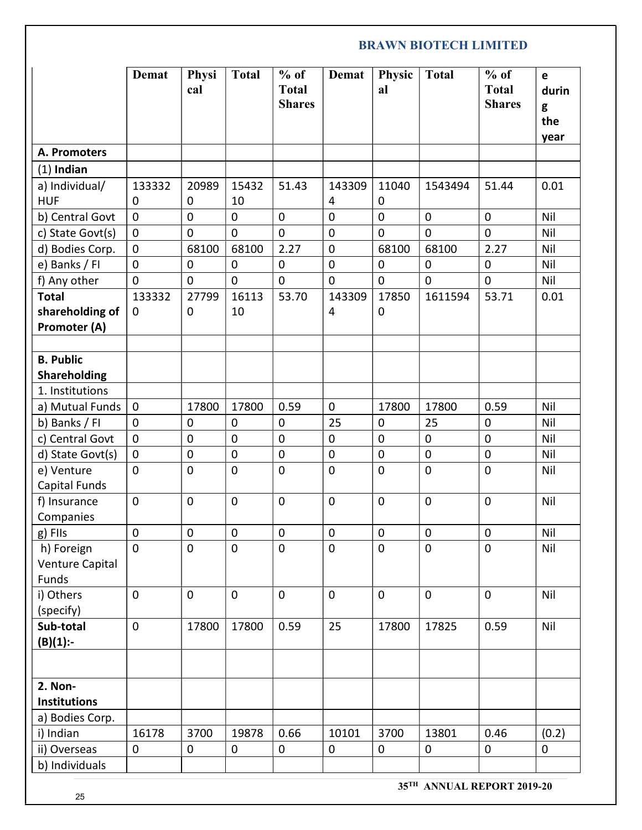|                                        | <b>Demat</b>                       | Physi<br>cal               | <b>Total</b>      | $%$ of<br><b>Total</b><br><b>Shares</b> | Demat            | Physic<br>al       | <b>Total</b> | $%$ of<br><b>Total</b><br><b>Shares</b> | e<br>durin<br>g<br>the<br>year |
|----------------------------------------|------------------------------------|----------------------------|-------------------|-----------------------------------------|------------------|--------------------|--------------|-----------------------------------------|--------------------------------|
| A. Promoters                           |                                    |                            |                   |                                         |                  |                    |              |                                         |                                |
| $(1)$ Indian                           |                                    |                            |                   |                                         |                  |                    |              |                                         |                                |
| a) Individual/                         | 133332                             | 20989                      | 15432             | 51.43                                   | 143309           | 11040              | 1543494      | 51.44                                   | 0.01                           |
| <b>HUF</b>                             | $\mathbf 0$<br>$\mathsf{O}\xspace$ | $\mathbf 0$<br>$\mathbf 0$ | 10<br>$\mathbf 0$ | $\mathbf 0$                             | 4<br>$\mathbf 0$ | 0<br>$\mathbf 0$   | $\mathbf 0$  | 0                                       | Nil                            |
| b) Central Govt<br>c) State Govt(s)    | $\mathbf 0$                        | $\mathbf 0$                | $\mathbf 0$       | $\mathbf 0$                             | $\mathbf 0$      | $\mathbf 0$        | $\mathbf 0$  | $\mathbf 0$                             | Nil                            |
| d) Bodies Corp.                        | $\pmb{0}$                          | 68100                      | 68100             | 2.27                                    | $\mathbf 0$      | 68100              | 68100        | 2.27                                    | Nil                            |
| e) Banks / FI                          | $\mathbf 0$                        | $\mathbf 0$                | 0                 | $\mathbf 0$                             | $\mathbf 0$      | $\mathbf 0$        | 0            | 0                                       | Nil                            |
| f) Any other                           | $\pmb{0}$                          | $\pmb{0}$                  | $\pmb{0}$         | $\pmb{0}$                               | $\mathbf 0$      | $\mathbf 0$        | $\mathbf 0$  | $\pmb{0}$                               | Nil                            |
| <b>Total</b><br>shareholding of        | 133332<br>$\mathbf 0$              | 27799<br>$\pmb{0}$         | 16113<br>10       | 53.70                                   | 143309<br>4      | 17850<br>$\pmb{0}$ | 1611594      | 53.71                                   | 0.01                           |
| <b>Promoter (A)</b>                    |                                    |                            |                   |                                         |                  |                    |              |                                         |                                |
| <b>B. Public</b>                       |                                    |                            |                   |                                         |                  |                    |              |                                         |                                |
| Shareholding                           |                                    |                            |                   |                                         |                  |                    |              |                                         |                                |
| 1. Institutions                        |                                    |                            |                   |                                         |                  |                    |              |                                         |                                |
| a) Mutual Funds                        | $\pmb{0}$                          | 17800                      | 17800             | 0.59                                    | $\mathbf 0$      | 17800              | 17800        | 0.59                                    | Nil                            |
| b) Banks / FI                          | $\mathbf 0$                        | $\mathbf 0$                | $\mathbf 0$       | $\mathsf{O}$                            | 25               | $\mathbf 0$        | 25           | $\mathbf 0$                             | Nil                            |
| c) Central Govt                        | $\pmb{0}$                          | $\pmb{0}$                  | $\mathbf 0$       | $\pmb{0}$                               | $\pmb{0}$        | $\pmb{0}$          | $\mathbf 0$  | $\pmb{0}$                               | Nil                            |
| d) State Govt(s)                       | $\mathbf 0$                        | $\mathbf 0$                | $\pmb{0}$         | $\mathbf 0$                             | $\pmb{0}$        | $\mathbf 0$        | $\mathbf 0$  | $\mathbf 0$                             | Nil                            |
| e) Venture<br>Capital Funds            | $\mathbf 0$                        | $\mathbf 0$                | $\mathbf 0$       | $\mathbf 0$                             | $\mathbf 0$      | $\mathbf 0$        | $\mathsf 0$  | $\mathbf 0$                             | Nil                            |
| f) Insurance<br>Companies              | $\mathbf 0$                        | $\mathbf 0$                | $\mathbf 0$       | $\mathbf 0$                             | $\pmb{0}$        | $\pmb{0}$          | $\mathbf 0$  | $\pmb{0}$                               | Nil                            |
| $g$ ) Fils                             | $\pmb{0}$                          | $\mathbf 0$                | $\mathbf 0$       | $\mathbf 0$                             | $\pmb{0}$        | $\pmb{0}$          | $\mathbf 0$  | $\mathbf 0$                             | Nil                            |
| h) Foreign<br>Venture Capital<br>Funds | $\mathbf 0$                        | $\mathbf 0$                | $\mathbf 0$       | $\mathbf 0$                             | $\mathbf 0$      | $\pmb{0}$          | $\mathbf 0$  | $\mathbf 0$                             | Nil                            |
| i) Others<br>(specify)                 | $\pmb{0}$                          | $\pmb{0}$                  | $\mathbf 0$       | $\mathbf 0$                             | $\mathbf 0$      | $\mathbf 0$        | $\mathsf 0$  | $\pmb{0}$                               | Nil                            |
| Sub-total<br>$(B)(1)$ :-               | $\pmb{0}$                          | 17800                      | 17800             | 0.59                                    | 25               | 17800              | 17825        | 0.59                                    | Nil                            |
|                                        |                                    |                            |                   |                                         |                  |                    |              |                                         |                                |
| 2. Non-<br><b>Institutions</b>         |                                    |                            |                   |                                         |                  |                    |              |                                         |                                |
| a) Bodies Corp.                        |                                    |                            |                   |                                         |                  |                    |              |                                         |                                |
| i) Indian                              | 16178                              | 3700                       | 19878             | 0.66                                    | 10101            | 3700               | 13801        | 0.46                                    | (0.2)                          |
| ii) Overseas                           | 0                                  | $\mathbf 0$                | 0                 | 0                                       | 0                | 0                  | $\mathbf 0$  | 0                                       | 0                              |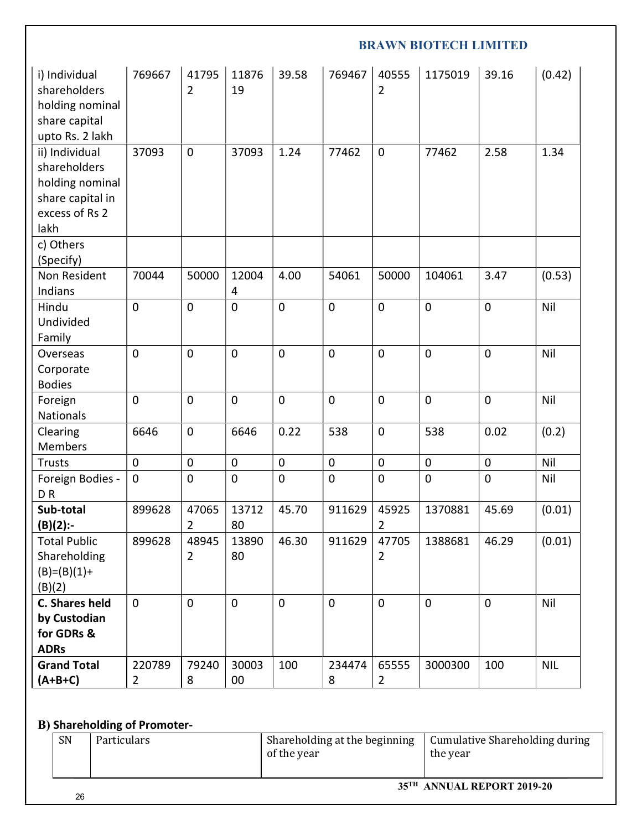|                                                                                                                    |                          |                         |                 |             |             |                         | <b>BRAWN BIOTECH LIMITED</b> |             |            |
|--------------------------------------------------------------------------------------------------------------------|--------------------------|-------------------------|-----------------|-------------|-------------|-------------------------|------------------------------|-------------|------------|
| i) Individual<br>shareholders<br>holding nominal<br>share capital                                                  | 769667                   | 41795<br>$\overline{2}$ | 11876<br>19     | 39.58       | 769467      | 40555<br>$\overline{2}$ | 1175019                      | 39.16       | (0.42)     |
| upto Rs. 2 lakh<br>ii) Individual<br>shareholders<br>holding nominal<br>share capital in<br>excess of Rs 2<br>lakh | 37093                    | $\mathbf 0$             | 37093           | 1.24        | 77462       | $\mathbf 0$             | 77462                        | 2.58        | 1.34       |
| c) Others<br>(Specify)                                                                                             |                          |                         |                 |             |             |                         |                              |             |            |
| Non Resident<br>Indians                                                                                            | 70044                    | 50000                   | 12004<br>4      | 4.00        | 54061       | 50000                   | 104061                       | 3.47        | (0.53)     |
| Hindu<br>Undivided<br>Family                                                                                       | $\mathsf{O}\xspace$      | $\mathbf 0$             | $\mathbf 0$     | $\mathbf 0$ | $\mathbf 0$ | $\mathbf 0$             | $\mathbf 0$                  | 0           | Nil        |
| Overseas<br>Corporate<br><b>Bodies</b>                                                                             | $\pmb{0}$                | $\mathbf 0$             | $\mathbf 0$     | $\mathbf 0$ | $\mathbf 0$ | $\mathbf 0$             | $\mathbf 0$                  | 0           | Nil        |
| Foreign<br>Nationals                                                                                               | $\mathbf 0$              | $\pmb{0}$               | $\mathbf 0$     | $\mathbf 0$ | 0           | $\mathbf 0$             | $\mathbf 0$                  | 0           | Nil        |
| Clearing<br>Members                                                                                                | 6646                     | $\mathbf 0$             | 6646            | 0.22        | 538         | $\mathbf 0$             | 538                          | 0.02        | (0.2)      |
| Trusts                                                                                                             | $\mathbf 0$              | $\mathbf 0$             | $\mathbf 0$     | $\mathbf 0$ | $\pmb{0}$   | $\mathbf 0$             | $\mathbf 0$                  | $\mathbf 0$ | Nil        |
| Foreign Bodies -<br>DR                                                                                             | $\mathsf{O}\xspace$      | $\mathbf 0$             | $\mathbf 0$     | $\mathbf 0$ | $\mathbf 0$ | $\mathbf 0$             | $\mathbf 0$                  | $\pmb{0}$   | Nil        |
| Sub-total<br>$(B)(2)$ :-                                                                                           | 899628                   | 47065<br>$\overline{2}$ | 13712<br>80     | 45.70       | 911629      | 45925<br>$\overline{2}$ | 1370881                      | 45.69       | (0.01)     |
| <b>Total Public</b><br>Shareholding<br>$(B)=(B)(1)+$<br>(B)(2)                                                     | 899628                   | 48945<br>$\overline{2}$ | 13890<br>80     | 46.30       | 911629      | 47705<br>$\overline{2}$ | 1388681                      | 46.29       | (0.01)     |
| C. Shares held<br>by Custodian<br>for GDRs &<br><b>ADRs</b>                                                        | $\mathbf 0$              | $\mathbf 0$             | $\mathbf 0$     | $\mathbf 0$ | $\mathbf 0$ | $\mathbf 0$             | $\mathbf 0$                  | 0           | Nil        |
| <b>Grand Total</b><br>$(A+B+C)$                                                                                    | 220789<br>$\overline{2}$ | 79240<br>8              | 30003<br>$00\,$ | 100         | 234474<br>8 | 65555<br>$\overline{2}$ | 3000300                      | 100         | <b>NIL</b> |

# B) Shareholding of Promoter-

|    | --                 |                               |                                |
|----|--------------------|-------------------------------|--------------------------------|
| SN | <b>Particulars</b> | Shareholding at the beginning | Cumulative Shareholding during |
|    |                    | of the year                   | the year                       |
|    |                    |                               |                                |
|    |                    |                               | 35TH ANNIJAL REPORT 2019-20    |
|    |                    |                               |                                |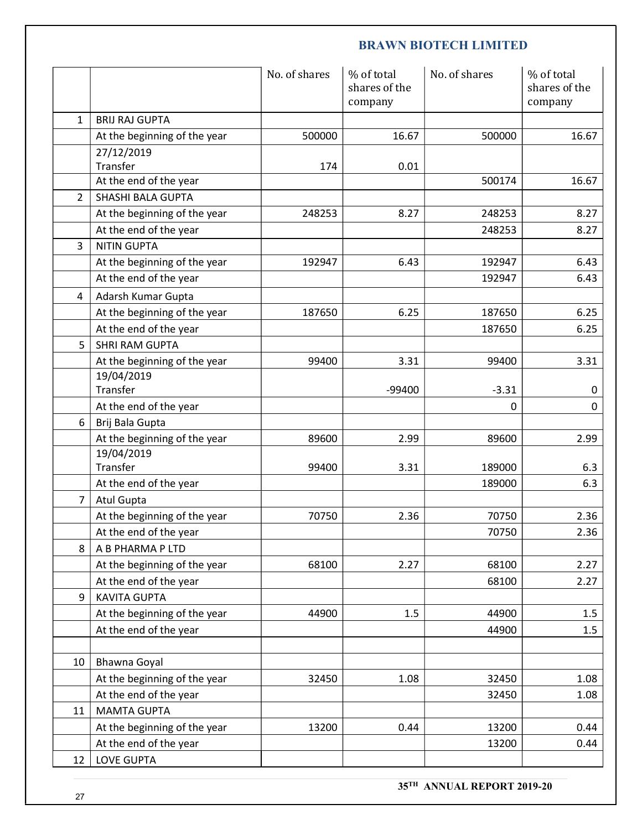|                 |                                              | No. of shares | % of total<br>shares of the<br>company | No. of shares | % of total<br>shares of the<br>company |
|-----------------|----------------------------------------------|---------------|----------------------------------------|---------------|----------------------------------------|
| $\mathbf{1}$    | <b>BRIJ RAJ GUPTA</b>                        |               |                                        |               |                                        |
|                 | At the beginning of the year                 | 500000        | 16.67                                  | 500000        | 16.67                                  |
|                 | 27/12/2019                                   |               |                                        |               |                                        |
|                 | Transfer                                     | 174           | 0.01                                   |               | 16.67                                  |
| $\overline{2}$  | At the end of the year<br>SHASHI BALA GUPTA  |               |                                        | 500174        |                                        |
|                 | At the beginning of the year                 | 248253        | 8.27                                   | 248253        | 8.27                                   |
|                 | At the end of the year                       |               |                                        | 248253        | 8.27                                   |
| $\mathbf{3}$    | <b>NITIN GUPTA</b>                           |               |                                        |               |                                        |
|                 | At the beginning of the year                 | 192947        | 6.43                                   | 192947        | 6.43                                   |
|                 | At the end of the year                       |               |                                        | 192947        | 6.43                                   |
| 4               | Adarsh Kumar Gupta                           |               |                                        |               |                                        |
|                 | At the beginning of the year                 | 187650        | 6.25                                   | 187650        | 6.25                                   |
|                 | At the end of the year                       |               |                                        | 187650        | 6.25                                   |
| 5               | SHRI RAM GUPTA                               |               |                                        |               |                                        |
|                 | At the beginning of the year<br>19/04/2019   | 99400         | 3.31                                   | 99400         | 3.31                                   |
|                 | Transfer                                     |               | -99400                                 | $-3.31$       | 0                                      |
|                 | At the end of the year                       |               |                                        | $\mathbf 0$   | 0                                      |
| 6               | Brij Bala Gupta                              |               |                                        |               |                                        |
|                 | At the beginning of the year<br>19/04/2019   | 89600         | 2.99                                   | 89600         | 2.99                                   |
|                 | Transfer                                     | 99400         | 3.31                                   | 189000        | 6.3                                    |
|                 | At the end of the year                       |               |                                        | 189000        | 6.3                                    |
| $\overline{7}$  | Atul Gupta                                   |               |                                        |               |                                        |
|                 | At the beginning of the year                 | 70750         | 2.36                                   | 70750         | 2.36                                   |
|                 | At the end of the year                       |               |                                        | 70750         | 2.36                                   |
| 8               | A B PHARMA P LTD                             |               |                                        |               |                                        |
|                 | At the beginning of the year                 | 68100         | 2.27                                   | 68100         | 2.27                                   |
|                 | At the end of the year                       |               |                                        | 68100         | 2.27                                   |
| 9               | <b>KAVITA GUPTA</b>                          |               |                                        |               |                                        |
|                 | At the beginning of the year                 | 44900         | $1.5\,$                                | 44900         | 1.5                                    |
|                 | At the end of the year                       |               |                                        | 44900         | 1.5                                    |
|                 |                                              |               |                                        |               |                                        |
| 10 <sup>°</sup> | Bhawna Goyal<br>At the beginning of the year | 32450         | 1.08                                   | 32450         | 1.08                                   |
|                 | At the end of the year                       |               |                                        | 32450         | 1.08                                   |
| 11              | <b>MAMTA GUPTA</b>                           |               |                                        |               |                                        |
|                 | At the beginning of the year                 | 13200         | 0.44                                   | 13200         | 0.44                                   |
|                 | At the end of the year                       |               |                                        | 13200         | 0.44                                   |
| 12              | <b>LOVE GUPTA</b>                            |               |                                        |               |                                        |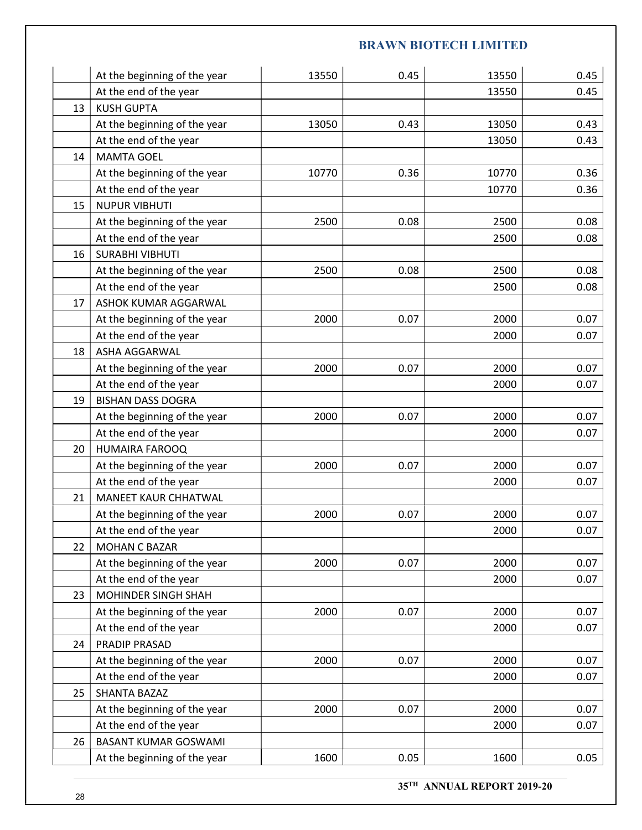|    |                                                        |       | <b>BRAWN BIOTECH LIMITED</b> |       |      |
|----|--------------------------------------------------------|-------|------------------------------|-------|------|
|    |                                                        |       |                              |       |      |
|    | At the beginning of the year                           | 13550 | 0.45                         | 13550 | 0.45 |
|    | At the end of the year                                 |       |                              | 13550 | 0.45 |
| 13 | <b>KUSH GUPTA</b>                                      |       |                              |       |      |
|    | At the beginning of the year                           | 13050 | 0.43                         | 13050 | 0.43 |
|    | At the end of the year                                 |       |                              | 13050 | 0.43 |
|    | 14   MAMTA GOEL                                        |       |                              |       |      |
|    | At the beginning of the year                           | 10770 | 0.36                         | 10770 | 0.36 |
|    | At the end of the year                                 |       |                              | 10770 | 0.36 |
| 15 | <b>NUPUR VIBHUTI</b>                                   |       |                              |       |      |
|    | At the beginning of the year                           | 2500  | 0.08                         | 2500  | 0.08 |
|    | At the end of the year                                 |       |                              | 2500  | 0.08 |
|    | 16   SURABHI VIBHUTI                                   |       |                              |       |      |
|    | At the beginning of the year                           | 2500  | 0.08                         | 2500  | 0.08 |
|    | At the end of the year                                 |       |                              | 2500  | 0.08 |
| 17 | ASHOK KUMAR AGGARWAL                                   |       |                              |       |      |
|    | At the beginning of the year                           | 2000  | 0.07                         | 2000  | 0.07 |
|    | At the end of the year                                 |       |                              | 2000  | 0.07 |
| 18 | ASHA AGGARWAL                                          |       |                              |       |      |
|    | At the beginning of the year                           | 2000  | 0.07                         | 2000  | 0.07 |
|    | At the end of the year                                 |       |                              | 2000  | 0.07 |
| 19 | <b>BISHAN DASS DOGRA</b>                               |       |                              |       |      |
|    | At the beginning of the year                           | 2000  | 0.07                         | 2000  | 0.07 |
|    | At the end of the year                                 |       |                              | 2000  | 0.07 |
| 20 | HUMAIRA FAROOQ                                         |       |                              |       |      |
|    | At the beginning of the year                           | 2000  | 0.07                         | 2000  | 0.07 |
|    | At the end of the year                                 |       |                              | 2000  | 0.07 |
| 21 | MANEET KAUR CHHATWAL                                   |       |                              |       |      |
|    |                                                        | 2000  | 0.07                         | 2000  | 0.07 |
|    | At the beginning of the year                           |       |                              | 2000  |      |
|    | At the end of the year<br><b>MOHAN C BAZAR</b>         |       |                              |       | 0.07 |
| 22 |                                                        |       |                              |       |      |
|    | At the beginning of the year                           | 2000  | 0.07                         | 2000  | 0.07 |
|    | At the end of the year                                 |       |                              | 2000  | 0.07 |
| 23 | MOHINDER SINGH SHAH                                    | 2000  |                              | 2000  |      |
|    | At the beginning of the year<br>At the end of the year |       | 0.07                         | 2000  | 0.07 |
|    |                                                        |       |                              |       | 0.07 |
| 24 | PRADIP PRASAD                                          |       |                              |       |      |
|    | At the beginning of the year                           | 2000  | 0.07                         | 2000  | 0.07 |
|    | At the end of the year                                 |       |                              | 2000  | 0.07 |
| 25 | SHANTA BAZAZ                                           | 2000  | 0.07                         | 2000  |      |
|    | At the beginning of the year                           |       |                              |       | 0.07 |
|    | At the end of the year                                 |       |                              | 2000  | 0.07 |
| 26 | <b>BASANT KUMAR GOSWAMI</b>                            |       |                              |       |      |
|    | At the beginning of the year                           | 1600  | 0.05                         | 1600  | 0.05 |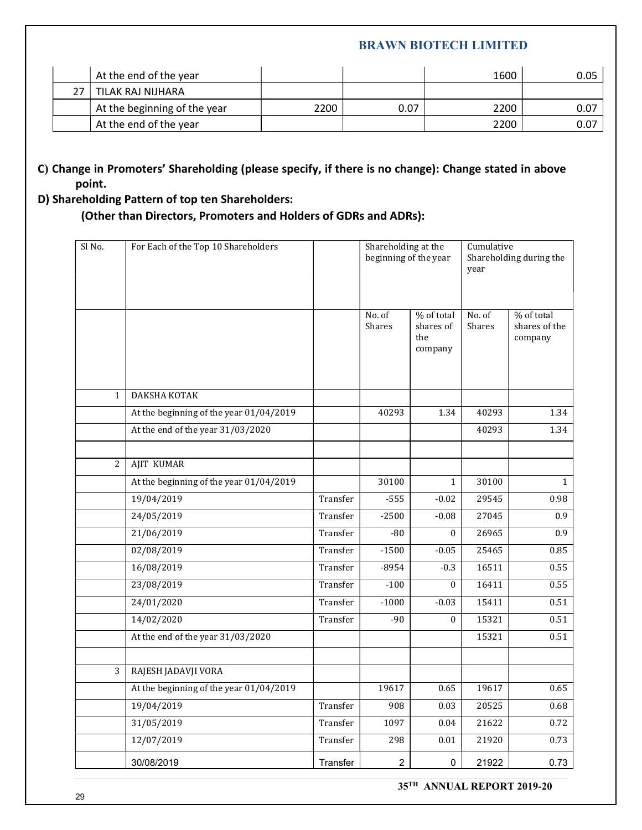|    |                                                        |      | <b>BRAWN BIOTECH LIMITED</b> |              |              |
|----|--------------------------------------------------------|------|------------------------------|--------------|--------------|
|    |                                                        |      |                              |              |              |
|    | At the end of the year                                 |      |                              | 1600         | 0.05         |
| 27 | TILAK RAJ NIJHARA                                      |      |                              |              |              |
|    | At the beginning of the year<br>At the end of the year | 2200 | 0.07                         | 2200<br>2200 | 0.07<br>0.07 |

# C) Change in Promoters' Shareholding (please specify, if there is no change): Change stated in above point.

# D) Shareholding Pattern of top ten Shareholders:

|        |                                                                                                                                                                                                                |                      | <b>BRAWN BIOTECH LIMITED</b>                 |                                           |                    |                                        |      |
|--------|----------------------------------------------------------------------------------------------------------------------------------------------------------------------------------------------------------------|----------------------|----------------------------------------------|-------------------------------------------|--------------------|----------------------------------------|------|
|        | At the end of the year                                                                                                                                                                                         |                      |                                              |                                           | 1600               |                                        | 0.05 |
| 27     | TILAK RAJ NIJHARA                                                                                                                                                                                              |                      |                                              |                                           |                    |                                        |      |
|        | At the beginning of the year                                                                                                                                                                                   | 2200                 | 0.07                                         |                                           | 2200               |                                        | 0.07 |
|        | At the end of the year                                                                                                                                                                                         |                      |                                              |                                           | 2200               |                                        | 0.07 |
| point. | nge in Promoters' Shareholding (please specify, if there is no change): Change stated in above<br>eholding Pattern of top ten Shareholders:<br>(Other than Directors, Promoters and Holders of GDRs and ADRs): |                      |                                              |                                           |                    |                                        |      |
| Sl No. | For Each of the Top 10 Shareholders                                                                                                                                                                            |                      | Shareholding at the<br>beginning of the year |                                           | Cumulative<br>year | Shareholding during the                |      |
|        |                                                                                                                                                                                                                |                      | No. of<br>Shares                             | % of total<br>shares of<br>the<br>company | No. of<br>Shares   | % of total<br>shares of the<br>company |      |
| -1     | DAKSHA KOTAK                                                                                                                                                                                                   |                      |                                              |                                           |                    |                                        |      |
|        | At the beginning of the year 01/04/2019                                                                                                                                                                        |                      | 40293                                        | 1.34                                      | 40293              | 1.34                                   |      |
|        | At the end of the year 31/03/2020                                                                                                                                                                              |                      |                                              |                                           | 40293              | 1.34                                   |      |
|        |                                                                                                                                                                                                                |                      |                                              |                                           |                    |                                        |      |
| 2      | AJIT KUMAR                                                                                                                                                                                                     |                      |                                              |                                           |                    |                                        |      |
|        | At the beginning of the year 01/04/2019                                                                                                                                                                        |                      | 30100                                        | 1                                         | 30100              | $\mathbf{1}$                           |      |
|        | 19/04/2019                                                                                                                                                                                                     | Transfer             | $-555$                                       | $-0.02$                                   | 29545              | 0.98                                   |      |
|        | 24/05/2019                                                                                                                                                                                                     | Transfer             | $-2500$                                      | $-0.08$                                   | 27045              | 0.9                                    |      |
|        | 21/06/2019                                                                                                                                                                                                     | Transfer             | $-80$                                        | $\mathbf{0}$                              | 26965              | 0.9                                    |      |
|        | 02/08/2019                                                                                                                                                                                                     | Transfer             | $-1500$                                      | $-0.05$                                   | 25465              | 0.85                                   |      |
|        | 16/08/2019                                                                                                                                                                                                     | Transfer             | $-8954$                                      | $-0.3$                                    | 16511              | 0.55                                   |      |
|        | 23/08/2019                                                                                                                                                                                                     | Transfer             | $-100$                                       | $\bf{0}$                                  | 16411              | 0.55                                   |      |
|        | 24/01/2020                                                                                                                                                                                                     | Transfer             | $-1000$                                      | $-0.03$                                   | 15411              | 0.51                                   |      |
|        | 14/02/2020                                                                                                                                                                                                     | Transfer             | $-90$                                        | $\mathbf{0}$                              | 15321              | 0.51                                   |      |
|        | At the end of the year 31/03/2020                                                                                                                                                                              |                      |                                              |                                           | 15321              | 0.51                                   |      |
| 3      | RAJESH JADAVJI VORA                                                                                                                                                                                            |                      |                                              |                                           |                    |                                        |      |
|        | At the beginning of the year 01/04/2019                                                                                                                                                                        |                      | 19617                                        | 0.65                                      | 19617              | 0.65                                   |      |
|        |                                                                                                                                                                                                                |                      | 908                                          |                                           | 20525              |                                        |      |
|        | 19/04/2019                                                                                                                                                                                                     | Transfer             |                                              | $0.03\,$                                  |                    | 0.68                                   |      |
|        | 31/05/2019                                                                                                                                                                                                     | Transfer<br>Transfer | 1097                                         | $0.04\,$                                  | 21622              | 0.72                                   |      |
|        |                                                                                                                                                                                                                |                      | 298                                          | $0.01\,$                                  | 21920              | 0.73                                   |      |
|        | 12/07/2019<br>30/08/2019                                                                                                                                                                                       | Transfer             | $\overline{2}$                               | $\mathbf 0$                               | 21922              | 0.73                                   |      |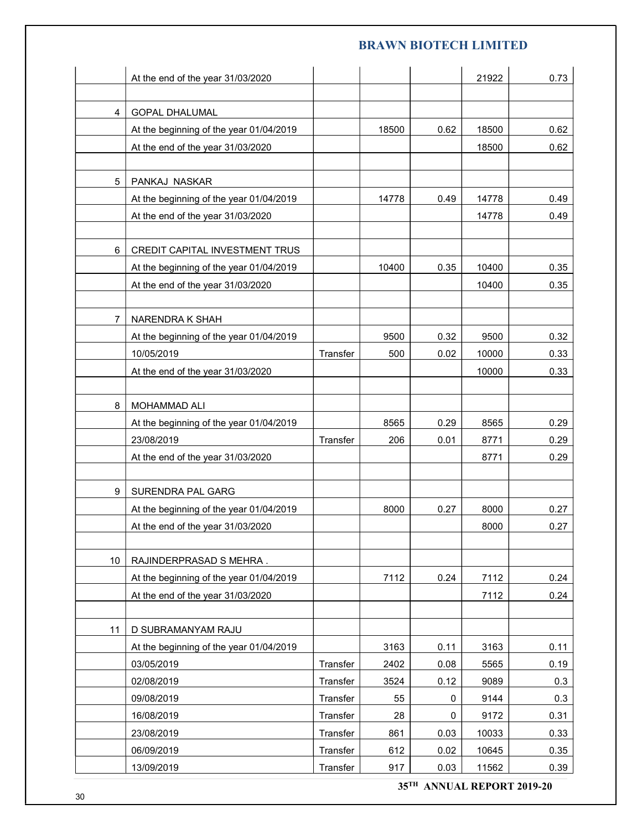|                |                                                                  |          |            |              | <b>BRAWN BIOTECH LIMITED</b> |              |
|----------------|------------------------------------------------------------------|----------|------------|--------------|------------------------------|--------------|
|                |                                                                  |          |            |              |                              |              |
|                | At the end of the year 31/03/2020                                |          |            |              | 21922                        | 0.73         |
| 4              |                                                                  |          |            |              |                              |              |
|                | <b>GOPAL DHALUMAL</b><br>At the beginning of the year 01/04/2019 |          | 18500      | 0.62         | 18500                        | 0.62         |
|                | At the end of the year 31/03/2020                                |          |            |              | 18500                        | 0.62         |
|                |                                                                  |          |            |              |                              |              |
| 5 <sup>5</sup> | PANKAJ NASKAR                                                    |          |            |              |                              |              |
|                | At the beginning of the year 01/04/2019                          |          | 14778      | 0.49         | 14778                        | 0.49         |
|                | At the end of the year 31/03/2020                                |          |            |              | 14778                        | 0.49         |
|                |                                                                  |          |            |              |                              |              |
| 6              | CREDIT CAPITAL INVESTMENT TRUS                                   |          |            |              |                              |              |
|                | At the beginning of the year 01/04/2019                          |          | 10400      | 0.35         | 10400                        | 0.35         |
|                | At the end of the year 31/03/2020                                |          |            |              | 10400                        | 0.35         |
|                |                                                                  |          |            |              |                              |              |
| $\overline{7}$ | NARENDRA K SHAH                                                  |          |            |              |                              |              |
|                | At the beginning of the year 01/04/2019                          |          | 9500       | 0.32         | 9500                         | 0.32         |
|                | 10/05/2019                                                       | Transfer | 500        | 0.02         | 10000                        | 0.33         |
|                | At the end of the year 31/03/2020                                |          |            |              | 10000                        | 0.33         |
|                |                                                                  |          |            |              |                              |              |
| 8              | MOHAMMAD ALI                                                     |          |            |              |                              |              |
|                | At the beginning of the year 01/04/2019                          |          | 8565       | 0.29         | 8565                         | 0.29         |
|                | 23/08/2019                                                       | Transfer | 206        | 0.01         | 8771<br>8771                 | 0.29<br>0.29 |
|                | At the end of the year 31/03/2020                                |          |            |              |                              |              |
| 9              | SURENDRA PAL GARG                                                |          |            |              |                              |              |
|                | At the beginning of the year 01/04/2019                          |          | 8000       | 0.27         | 8000                         | 0.27         |
|                | At the end of the year 31/03/2020                                |          |            |              | 8000                         | 0.27         |
|                |                                                                  |          |            |              |                              |              |
| 10             | RAJINDERPRASAD S MEHRA.                                          |          |            |              |                              |              |
|                | At the beginning of the year 01/04/2019                          |          | 7112       | 0.24         | 7112                         | 0.24         |
|                | At the end of the year 31/03/2020                                |          |            |              | 7112                         | 0.24         |
|                |                                                                  |          |            |              |                              |              |
| 11             | D SUBRAMANYAM RAJU                                               |          |            |              |                              |              |
|                | At the beginning of the year 01/04/2019                          |          | 3163       | 0.11         | 3163                         | 0.11         |
|                | 03/05/2019                                                       | Transfer | 2402       | 0.08         | 5565                         | 0.19         |
|                | 02/08/2019                                                       | Transfer | 3524       | 0.12         | 9089                         | 0.3          |
|                | 09/08/2019                                                       | Transfer | 55         | $\mathbf 0$  | 9144                         | 0.3          |
|                | 16/08/2019                                                       | Transfer | 28         | $\mathbf 0$  | 9172                         | 0.31         |
|                | 23/08/2019                                                       | Transfer | 861        | 0.03         | 10033                        | 0.33         |
|                | 06/09/2019                                                       | Transfer | 612<br>917 | 0.02<br>0.03 | 10645                        | 0.35         |
|                | 13/09/2019                                                       | Transfer |            |              | 11562                        | 0.39         |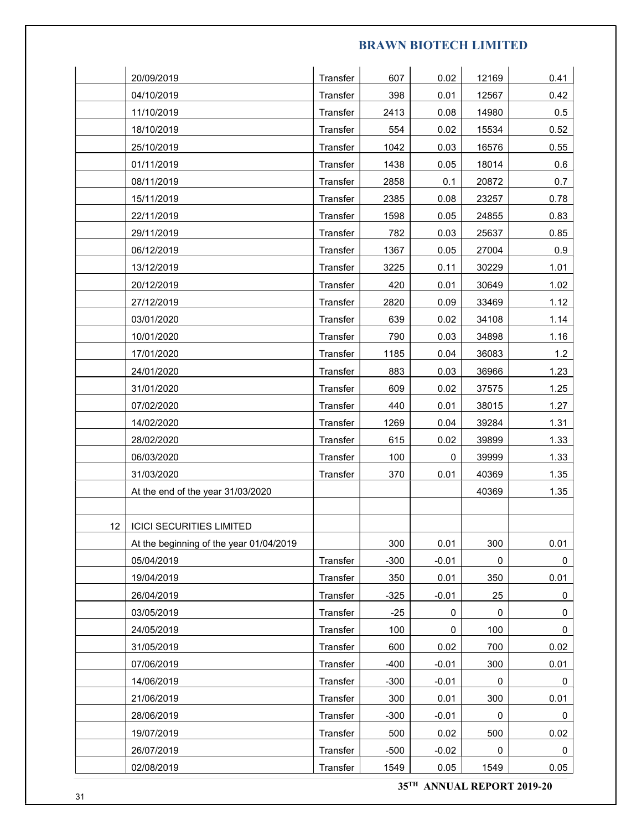|    |                                         |                      |               |                     | <b>BRAWN BIOTECH LIMITED</b> |              |
|----|-----------------------------------------|----------------------|---------------|---------------------|------------------------------|--------------|
|    |                                         |                      |               |                     |                              |              |
|    | 20/09/2019                              | Transfer             | 607           | 0.02                | 12169                        | 0.41         |
|    | 04/10/2019                              | Transfer             | 398           | 0.01                | 12567                        | 0.42         |
|    | 11/10/2019                              | Transfer             | 2413          | 0.08                | 14980                        | 0.5          |
|    | 18/10/2019                              | Transfer             | 554           | 0.02                | 15534                        | 0.52         |
|    | 25/10/2019                              | Transfer             | 1042          | 0.03                | 16576                        | 0.55         |
|    | 01/11/2019                              | Transfer             | 1438          | 0.05                | 18014                        | 0.6          |
|    | 08/11/2019                              | Transfer             | 2858          | 0.1                 | 20872                        | 0.7          |
|    | 15/11/2019                              | Transfer             | 2385          | 0.08                | 23257                        | 0.78         |
|    | 22/11/2019                              | Transfer             | 1598          | 0.05                | 24855                        | 0.83         |
|    | 29/11/2019                              | Transfer             | 782           | 0.03                | 25637                        | 0.85         |
|    | 06/12/2019                              | Transfer             | 1367          | 0.05                | 27004                        | 0.9          |
|    | 13/12/2019                              | Transfer             | 3225          | 0.11                | 30229                        | 1.01         |
|    | 20/12/2019                              | Transfer             | 420           | 0.01                | 30649                        | 1.02         |
|    | 27/12/2019                              | Transfer             | 2820          | 0.09                | 33469                        | 1.12         |
|    | 03/01/2020                              | Transfer             | 639           | 0.02                | 34108                        | 1.14         |
|    | 10/01/2020                              | Transfer             | 790           | 0.03                | 34898                        | 1.16         |
|    | 17/01/2020                              | Transfer             | 1185          | 0.04                | 36083                        | 1.2          |
|    | 24/01/2020                              | Transfer             | 883           | 0.03                | 36966                        | 1.23         |
|    | 31/01/2020                              | Transfer             | 609           | 0.02                | 37575                        | 1.25         |
|    | 07/02/2020                              | Transfer             | 440           | 0.01                | 38015                        | 1.27         |
|    | 14/02/2020                              | Transfer             | 1269          | 0.04                | 39284                        | 1.31         |
|    | 28/02/2020                              | Transfer             | 615           | 0.02                | 39899                        | 1.33         |
|    | 06/03/2020                              | Transfer             | 100           | $\mathsf{O}\xspace$ | 39999                        | 1.33         |
|    | 31/03/2020                              | Transfer             | 370           | 0.01                | 40369                        | 1.35         |
|    | At the end of the year 31/03/2020       |                      |               |                     | 40369                        | 1.35         |
|    |                                         |                      |               |                     |                              |              |
| 12 | <b>ICICI SECURITIES LIMITED</b>         |                      |               |                     |                              |              |
|    | At the beginning of the year 01/04/2019 |                      | 300           | 0.01                | 300                          | 0.01         |
|    | 05/04/2019<br>19/04/2019                | Transfer             | $-300$<br>350 | $-0.01$<br>0.01     | $\mathsf{O}$<br>350          | 0<br>0.01    |
|    | 26/04/2019                              | Transfer<br>Transfer | $-325$        | $-0.01$             | 25                           | $\mathbf 0$  |
|    | 03/05/2019                              | Transfer             | $-25$         | $\mathbf 0$         | $\mathbf 0$                  | $\mathbf 0$  |
|    | 24/05/2019                              | Transfer             | 100           | 0                   | 100                          | $\mathbf 0$  |
|    | 31/05/2019                              | Transfer             | 600           | 0.02                | 700                          | 0.02         |
|    | 07/06/2019                              | Transfer             | $-400$        | $-0.01$             | 300                          | 0.01         |
|    | 14/06/2019                              | Transfer             | $-300$        | $-0.01$             | $\mathbf 0$                  | 0            |
|    | 21/06/2019                              | Transfer             | 300           | 0.01                | 300                          | 0.01         |
|    | 28/06/2019                              | Transfer             | $-300$        | $-0.01$             | 0                            | 0            |
|    | 19/07/2019                              | Transfer             | 500           | 0.02                | 500                          | 0.02         |
|    | 26/07/2019                              | Transfer             | $-500$        | $-0.02$             | $\mathsf{O}\xspace$          | $\mathbf{0}$ |
|    | 02/08/2019                              | Transfer             | 1549          | 0.05                | 1549                         | 0.05         |
|    |                                         |                      |               |                     |                              |              |
|    |                                         |                      |               |                     | 35TH ANNUAL REPORT 2019-20   |              |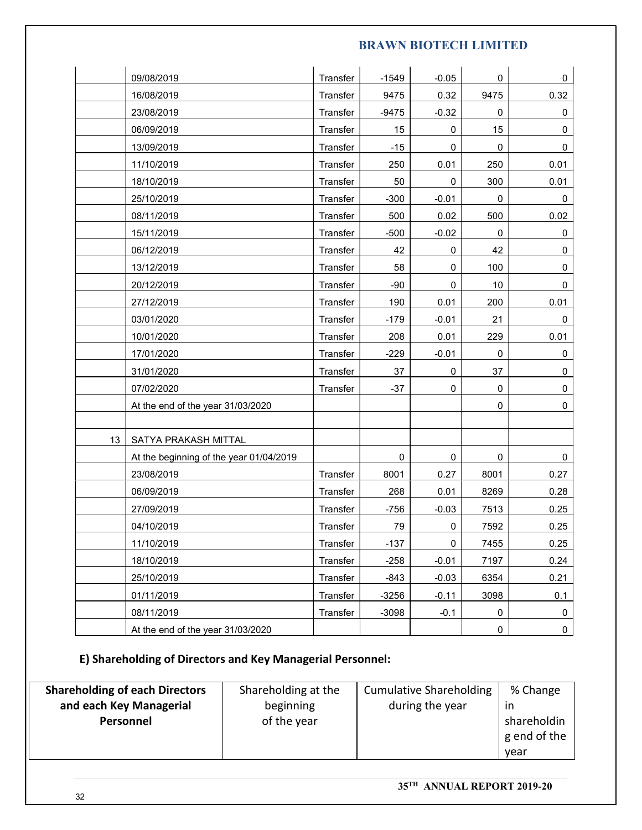|                              |                                   |                                                            |          | <b>BRAWN BIOTECH LIMITED</b>   |                     |           |                |
|------------------------------|-----------------------------------|------------------------------------------------------------|----------|--------------------------------|---------------------|-----------|----------------|
| 09/08/2019                   |                                   |                                                            | Transfer | $-1549$                        | $-0.05$             | 0         | 0              |
| 16/08/2019                   |                                   |                                                            | Transfer | 9475                           | 0.32                | 9475      | 0.32           |
| 23/08/2019                   |                                   |                                                            | Transfer | $-9475$                        | $-0.32$             | 0         | 0              |
| 06/09/2019                   |                                   |                                                            | Transfer | 15                             | $\mathbf 0$         | 15        | $\mathbf 0$    |
| 13/09/2019                   |                                   |                                                            | Transfer | $-15$                          | $\mathbf 0$         | 0         | 0              |
| 11/10/2019                   |                                   |                                                            | Transfer | 250                            | 0.01                | 250       | 0.01           |
| 18/10/2019                   |                                   |                                                            | Transfer | 50                             | $\mathbf 0$         | 300       | 0.01           |
| 25/10/2019                   |                                   |                                                            | Transfer | $-300$                         | $-0.01$             | 0         | 0              |
| 08/11/2019                   |                                   |                                                            | Transfer | 500                            | 0.02                | 500       | 0.02           |
| 15/11/2019                   |                                   |                                                            | Transfer | $-500$                         | $-0.02$             | 0         | 0              |
| 06/12/2019                   |                                   |                                                            | Transfer | 42                             | 0                   | 42        | $\mathbf 0$    |
| 13/12/2019                   |                                   |                                                            | Transfer | 58                             | $\mathbf 0$         | 100       | $\mathbf 0$    |
| 20/12/2019                   |                                   |                                                            | Transfer | $-90$                          | $\mathbf 0$         | 10        | $\mathbf 0$    |
| 27/12/2019                   |                                   |                                                            | Transfer | 190                            | 0.01                | 200       | 0.01           |
| 03/01/2020                   |                                   |                                                            | Transfer | $-179$                         | $-0.01$             | 21        | 0              |
| 10/01/2020                   |                                   |                                                            | Transfer | 208                            | 0.01                | 229       | 0.01           |
| 17/01/2020                   |                                   |                                                            | Transfer | $-229$                         | $-0.01$             | 0         | 0              |
| 31/01/2020                   |                                   |                                                            | Transfer | 37                             | $\pmb{0}$           | 37        | $\mathbf 0$    |
| 07/02/2020                   |                                   |                                                            | Transfer | $-37$                          | $\mathsf{O}\xspace$ | $\pmb{0}$ | $\mathbf 0$    |
|                              | At the end of the year 31/03/2020 |                                                            |          |                                |                     | 0         | $\mathbf 0$    |
| 13                           | SATYA PRAKASH MITTAL              |                                                            |          |                                |                     |           |                |
|                              |                                   | At the beginning of the year 01/04/2019                    |          | $\pmb{0}$                      | $\mathsf 0$         | $\pmb{0}$ | $\pmb{0}$      |
| 23/08/2019                   |                                   |                                                            | Transfer | 8001                           | 0.27                | 8001      | 0.27           |
| 06/09/2019                   |                                   |                                                            | Transfer | 268                            | 0.01                | 8269      | 0.28           |
| 27/09/2019                   |                                   |                                                            | Transfer | $-756$                         | $-0.03$             | 7513      | 0.25           |
| 04/10/2019                   |                                   |                                                            | Transfer | 79                             | $\mathsf{O}\xspace$ | 7592      | 0.25           |
| 11/10/2019                   |                                   |                                                            | Transfer | $-137$                         | $\mathsf{O}\xspace$ | 7455      | 0.25           |
| 18/10/2019                   |                                   |                                                            | Transfer | $-258$                         | $-0.01$             | 7197      | 0.24           |
| 25/10/2019                   |                                   |                                                            | Transfer | $-843$                         | $-0.03$             | 6354      | 0.21           |
| 01/11/2019                   |                                   |                                                            | Transfer | $-3256$                        | $-0.11$             | 3098      | 0.1            |
| 08/11/2019                   |                                   |                                                            | Transfer | $-3098$                        | $-0.1$              | 0         | 0              |
|                              | At the end of the year 31/03/2020 |                                                            |          |                                |                     | $\pmb{0}$ | $\mathbf 0$    |
|                              |                                   | E) Shareholding of Directors and Key Managerial Personnel: |          |                                |                     |           |                |
| areholding of each Directors |                                   |                                                            |          |                                |                     |           |                |
| and each Key Managerial      |                                   | Shareholding at the<br>beginning                           |          | <b>Cumulative Shareholding</b> | during the year     |           | % Change<br>in |
| Personnel                    |                                   | of the year                                                |          |                                |                     |           | shareholdin    |
|                              |                                   |                                                            |          |                                |                     |           |                |

| <b>Shareholding of each Directors</b> | Shareholding at the | <b>Cumulative Shareholding</b> | % Change     |
|---------------------------------------|---------------------|--------------------------------|--------------|
| and each Key Managerial               | beginning           | during the year                | ır           |
| Personnel                             | of the year         |                                | shareholdin  |
|                                       |                     |                                | g end of the |
|                                       |                     |                                | vear         |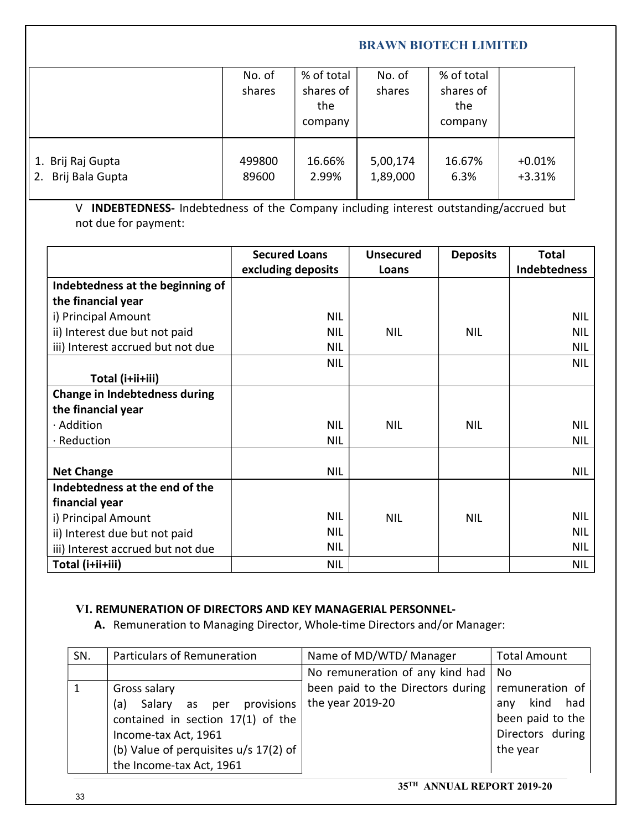|                                                                                                                |                                            |                                           |                           | <b>BRAWN BIOTECH LIMITED</b>              |                              |
|----------------------------------------------------------------------------------------------------------------|--------------------------------------------|-------------------------------------------|---------------------------|-------------------------------------------|------------------------------|
|                                                                                                                | No. of<br>shares                           | % of total<br>shares of<br>the<br>company | No. of<br>shares          | % of total<br>shares of<br>the<br>company |                              |
| 1. Brij Raj Gupta                                                                                              | 499800                                     | 16.66%                                    | 5,00,174                  | 16.67%                                    | $+0.01%$                     |
| 2. Brij Bala Gupta                                                                                             | 89600                                      | 2.99%                                     | 1,89,000                  | 6.3%                                      | $+3.31%$                     |
| V INDEBTEDNESS- Indebtedness of the Company including interest outstanding/accrued but<br>not due for payment: |                                            |                                           |                           |                                           |                              |
|                                                                                                                | <b>Secured Loans</b><br>excluding deposits |                                           | <b>Unsecured</b><br>Loans | <b>Deposits</b>                           | <b>Total</b><br>Indebtedness |
| Indebtedness at the beginning of                                                                               |                                            |                                           |                           |                                           |                              |
| the financial year<br>i) Principal Amount                                                                      |                                            | <b>NIL</b>                                |                           |                                           | <b>NIL</b>                   |
| hich that dup his anatal (ii                                                                                   |                                            | <b>NII</b>                                | <b>NII</b>                | <b>NII</b>                                | <b>NII</b>                   |

|                     |                                                                                        |                      | the<br>company |                  | the<br>company  |                     |
|---------------------|----------------------------------------------------------------------------------------|----------------------|----------------|------------------|-----------------|---------------------|
|                     |                                                                                        |                      |                |                  |                 |                     |
| Brij Raj Gupta      |                                                                                        | 499800               | 16.66%         | 5,00,174         | 16.67%          | $+0.01%$            |
| Brij Bala Gupta     |                                                                                        | 89600                | 2.99%          | 1,89,000         | 6.3%            | $+3.31%$            |
|                     | V INDEBTEDNESS- Indebtedness of the Company including interest outstanding/accrued but |                      |                |                  |                 |                     |
|                     | not due for payment:                                                                   |                      |                |                  |                 |                     |
|                     |                                                                                        | <b>Secured Loans</b> |                | <b>Unsecured</b> | <b>Deposits</b> | <b>Total</b>        |
|                     |                                                                                        | excluding deposits   |                | Loans            |                 | <b>Indebtedness</b> |
|                     | Indebtedness at the beginning of                                                       |                      |                |                  |                 |                     |
| the financial year  |                                                                                        |                      |                |                  |                 |                     |
| i) Principal Amount |                                                                                        |                      | <b>NIL</b>     |                  |                 | <b>NIL</b>          |
|                     | ii) Interest due but not paid                                                          |                      | <b>NIL</b>     | <b>NIL</b>       | <b>NIL</b>      | <b>NIL</b>          |
|                     | iii) Interest accrued but not due                                                      |                      | <b>NIL</b>     |                  |                 | <b>NIL</b>          |
|                     | Total (i+ii+iii)                                                                       |                      | <b>NIL</b>     |                  |                 | <b>NIL</b>          |
|                     | <b>Change in Indebtedness during</b>                                                   |                      |                |                  |                 |                     |
| the financial year  |                                                                                        |                      |                |                  |                 |                     |
| · Addition          |                                                                                        |                      | <b>NIL</b>     | <b>NIL</b>       | <b>NIL</b>      | <b>NIL</b>          |
| Reduction           |                                                                                        |                      | <b>NIL</b>     |                  |                 | <b>NIL</b>          |
|                     |                                                                                        |                      |                |                  |                 |                     |
| <b>Net Change</b>   |                                                                                        |                      | <b>NIL</b>     |                  |                 | <b>NIL</b>          |
|                     | Indebtedness at the end of the                                                         |                      |                |                  |                 |                     |
| financial year      |                                                                                        |                      |                |                  |                 |                     |
| i) Principal Amount |                                                                                        |                      | <b>NIL</b>     | <b>NIL</b>       | <b>NIL</b>      | <b>NIL</b>          |
|                     | ii) Interest due but not paid                                                          |                      | <b>NIL</b>     |                  |                 | <b>NIL</b>          |
|                     | iii) Interest accrued but not due                                                      |                      | <b>NIL</b>     |                  |                 | <b>NIL</b>          |
| Total (i+ii+iii)    |                                                                                        |                      | <b>NIL</b>     |                  |                 | <b>NIL</b>          |

### VI. REMUNERATION OF DIRECTORS AND KEY MANAGERIAL PERSONNEL-

| SN. | <b>Particulars of Remuneration</b>    | Name of MD/WTD/ Manager           | <b>Total Amount</b> |
|-----|---------------------------------------|-----------------------------------|---------------------|
|     |                                       | No remuneration of any kind had   | No                  |
|     | Gross salary                          | been paid to the Directors during | remuneration of     |
|     | Salary<br>provisions<br>(a)<br>as per | the year 2019-20                  | kind<br>had<br>anv  |
|     | contained in section 17(1) of the     |                                   | been paid to the    |
|     | Income-tax Act, 1961                  |                                   | Directors during    |
|     | (b) Value of perquisites u/s 17(2) of |                                   | the year            |
|     | the Income-tax Act, 1961              |                                   |                     |